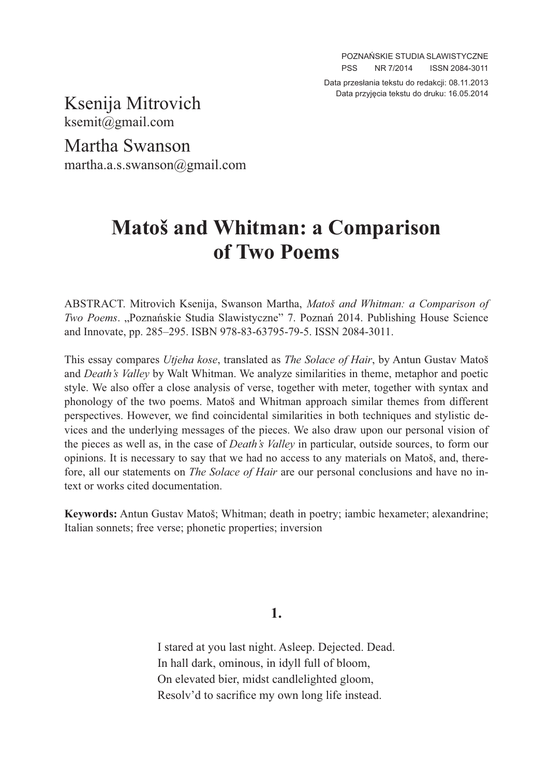Data przesłania tekstu do redakcji: 08.11.2013 Data przyjęcia tekstu do druku: 16.05.2014

Ksenija Mitrovich ksemit@gmail.com

Martha Swanson martha.a.s.swanson@gmail.com

# **Matoš and Whitman: a Comparison of Two Poems**

ABSTRACT. Mitrovich Ksenija, Swanson Martha, *Matoš and Whitman: a Comparison of Two Poems.* "Poznańskie Studia Slawistyczne" 7. Poznań 2014. Publishing House Science and Innovate, pp. 285–295. ISBN 978-83-63795-79-5. ISSN 2084-3011.

This essay compares *Utjeha kose*, translated as *The Solace of Hair*, by Antun Gustav Matoš and *Death's Valley* by Walt Whitman. We analyze similarities in theme, metaphor and poetic style. We also offer a close analysis of verse, together with meter, together with syntax and phonology of the two poems. Matoš and Whitman approach similar themes from different perspectives. However, we find coincidental similarities in both techniques and stylistic devices and the underlying messages of the pieces. We also draw upon our personal vision of the pieces as well as, in the case of *Death's Valley* in particular, outside sources, to form our opinions. It is necessary to say that we had no access to any materials on Matoš, and, therefore, all our statements on *The Solace of Hair* are our personal conclusions and have no intext or works cited documentation.

**Keywords:** Antun Gustav Matoš; Whitman; death in poetry; iambic hexameter; alexandrine; Italian sonnets; free verse; phonetic properties; inversion

**1.**

I stared at you last night. Asleep. Dejected. Dead. In hall dark, ominous, in idyll full of bloom, On elevated bier, midst candlelighted gloom, Resolv'd to sacrifice my own long life instead.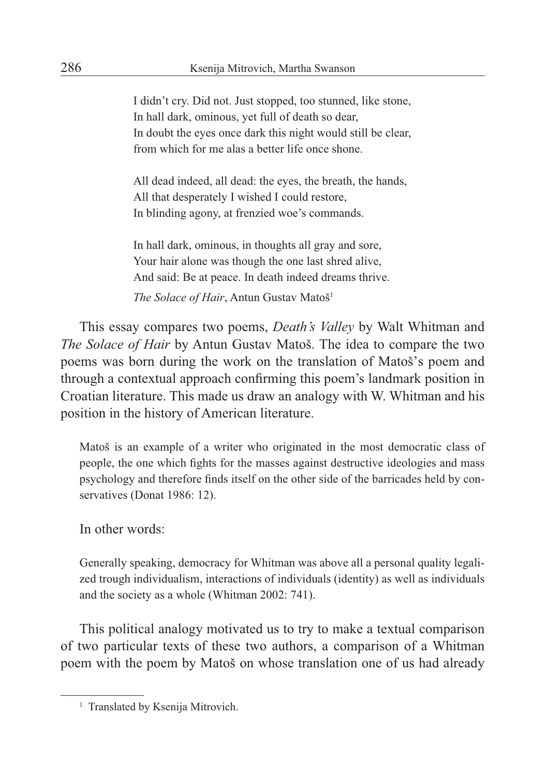I didn't cry. Did not. Just stopped, too stunned, like stone, In hall dark, ominous, yet full of death so dear, In doubt the eyes once dark this night would still be clear, from which for me alas a better life once shone.

All dead indeed, all dead: the eyes, the breath, the hands, All that desperately I wished I could restore, In blinding agony, at frenzied woe's commands.

In hall dark, ominous, in thoughts all gray and sore, Your hair alone was though the one last shred alive, And said: Be at peace. In death indeed dreams thrive.

*The Solace of Hair*, Antun Gustav Matoš<sup>1</sup>

This essay compares two poems, *Death's Valley* by Walt Whitman and *The Solace of Hair* by Antun Gustav Matoš. The idea to compare the two poems was born during the work on the translation of Matoš's poem and through a contextual approach confirming this poem's landmark position in Croatian literature. This made us draw an analogy with W. Whitman and his position in the history of American literature.

Matoš is an example of a writer who originated in the most democratic class of people, the one which fights for the masses against destructive ideologies and mass psychology and therefore finds itself on the other side of the barricades held by conservatives (Donat 1986: 12).

In other words:

Generally speaking, democracy for Whitman was above all a personal quality legalized trough individualism, interactions of individuals (identity) as well as individuals and the society as a whole (Whitman 2002: 741).

This political analogy motivated us to try to make a textual comparison of two particular texts of these two authors, a comparison of a Whitman poem with the poem by Matoš on whose translation one of us had already

<sup>&</sup>lt;sup>1</sup> Translated by Ksenija Mitrovich.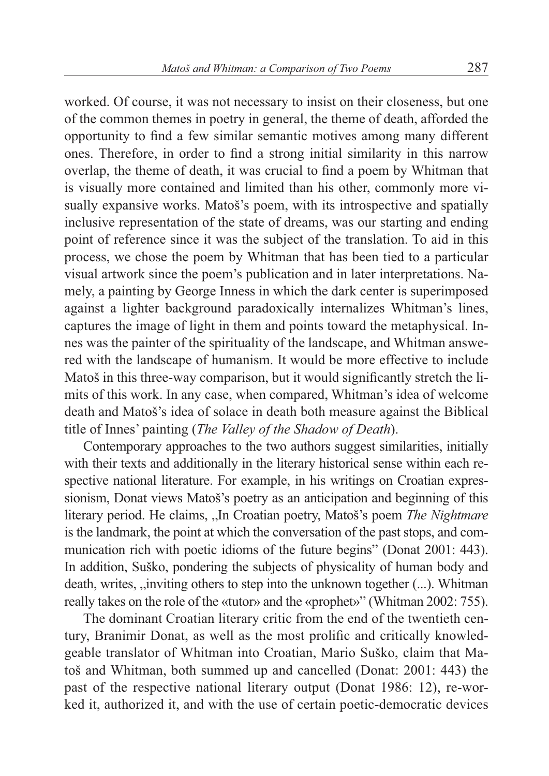worked. Of course, it was not necessary to insist on their closeness, but one of the common themes in poetry in general, the theme of death, afforded the opportunity to find a few similar semantic motives among many different ones. Therefore, in order to find a strong initial similarity in this narrow overlap, the theme of death, it was crucial to find a poem by Whitman that is visually more contained and limited than his other, commonly more visually expansive works. Matoš's poem, with its introspective and spatially inclusive representation of the state of dreams, was our starting and ending point of reference since it was the subject of the translation. To aid in this process, we chose the poem by Whitman that has been tied to a particular visual artwork since the poem's publication and in later interpretations. Namely, a painting by George Inness in which the dark center is superimposed against a lighter background paradoxically internalizes Whitman's lines, captures the image of light in them and points toward the metaphysical. Innes was the painter of the spirituality of the landscape, and Whitman answered with the landscape of humanism. It would be more effective to include Matoš in this three-way comparison, but it would significantly stretch the limits of this work. In any case, when compared, Whitman's idea of welcome death and Matoš's idea of solace in death both measure against the Biblical title of Innes' painting (*The Valley of the Shadow of Death*).

Contemporary approaches to the two authors suggest similarities, initially with their texts and additionally in the literary historical sense within each respective national literature. For example, in his writings on Croatian expressionism, Donat views Matoš's poetry as an anticipation and beginning of this literary period. He claims, "In Croatian poetry, Matoš's poem *The Nightmare* is the landmark, the point at which the conversation of the past stops, and communication rich with poetic idioms of the future begins" (Donat 2001: 443). In addition, Suško, pondering the subjects of physicality of human body and death, writes, "inviting others to step into the unknown together (...). Whitman really takes on the role of the «tutor» and the «prophet»" (Whitman 2002: 755).

The dominant Croatian literary critic from the end of the twentieth century, Branimir Donat, as well as the most prolific and critically knowledgeable translator of Whitman into Croatian, Mario Suško, claim that Matoš and Whitman, both summed up and cancelled (Donat: 2001: 443) the past of the respective national literary output (Donat 1986: 12), re-worked it, authorized it, and with the use of certain poetic-democratic devices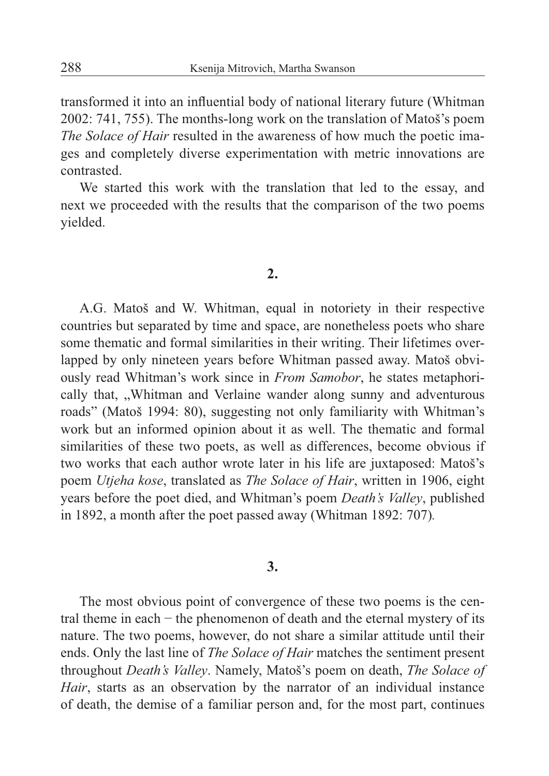transformed it into an influential body of national literary future (Whitman 2002: 741, 755). The months-long work on the translation of Matoš's poem *The Solace of Hair* resulted in the awareness of how much the poetic images and completely diverse experimentation with metric innovations are contrasted.

We started this work with the translation that led to the essay, and next we proceeded with the results that the comparison of the two poems yielded.

## **2.**

A.G. Matoš and W. Whitman, equal in notoriety in their respective countries but separated by time and space, are nonetheless poets who share some thematic and formal similarities in their writing. Their lifetimes overlapped by only nineteen years before Whitman passed away. Matoš obviously read Whitman's work since in *From Samobor*, he states metaphorically that, "Whitman and Verlaine wander along sunny and adventurous roads" (Matoš 1994: 80), suggesting not only familiarity with Whitman's work but an informed opinion about it as well. The thematic and formal similarities of these two poets, as well as differences, become obvious if two works that each author wrote later in his life are juxtaposed: Matoš's poem *Utjeha kose*, translated as *The Solace of Hair*, written in 1906, eight years before the poet died, and Whitman's poem *Death's Valley*, published in 1892, a month after the poet passed away (Whitman 1892: 707)*.*

# **3.**

The most obvious point of convergence of these two poems is the central theme in each − the phenomenon of death and the eternal mystery of its nature. The two poems, however, do not share a similar attitude until their ends. Only the last line of *The Solace of Hair* matches the sentiment present throughout *Death's Valley*. Namely, Matoš's poem on death, *The Solace of Hair*, starts as an observation by the narrator of an individual instance of death, the demise of a familiar person and, for the most part, continues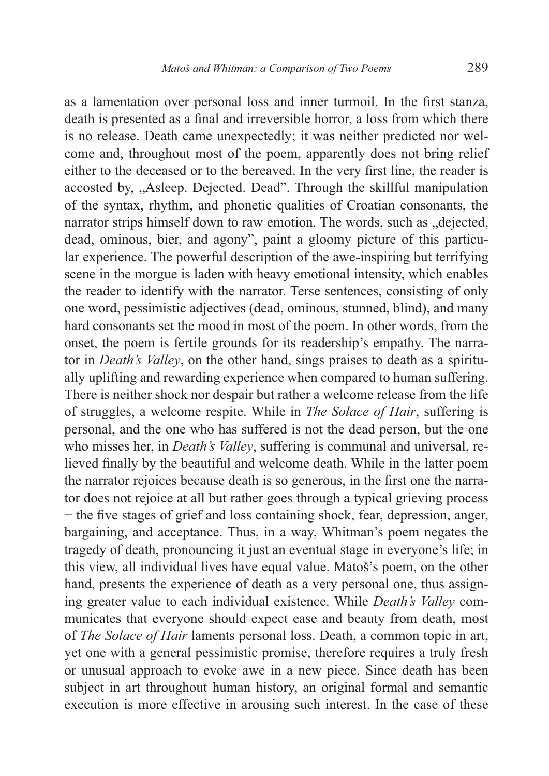as a lamentation over personal loss and inner turmoil. In the first stanza, death is presented as a final and irreversible horror, a loss from which there is no release. Death came unexpectedly; it was neither predicted nor welcome and, throughout most of the poem, apparently does not bring relief either to the deceased or to the bereaved. In the very first line, the reader is accosted by, "Asleep. Dejected. Dead". Through the skillful manipulation of the syntax, rhythm, and phonetic qualities of Croatian consonants, the narrator strips himself down to raw emotion. The words, such as "dejected, dead, ominous, bier, and agony", paint a gloomy picture of this particular experience. The powerful description of the awe-inspiring but terrifying scene in the morgue is laden with heavy emotional intensity, which enables the reader to identify with the narrator. Terse sentences, consisting of only one word, pessimistic adjectives (dead, ominous, stunned, blind), and many hard consonants set the mood in most of the poem. In other words, from the onset, the poem is fertile grounds for its readership's empathy. The narrator in *Death's Valley*, on the other hand, sings praises to death as a spiritually uplifting and rewarding experience when compared to human suffering. There is neither shock nor despair but rather a welcome release from the life of struggles, a welcome respite. While in *The Solace of Hair*, suffering is personal, and the one who has suffered is not the dead person, but the one who misses her, in *Death's Valley*, suffering is communal and universal, relieved finally by the beautiful and welcome death. While in the latter poem the narrator rejoices because death is so generous, in the first one the narrator does not rejoice at all but rather goes through a typical grieving process − the five stages of grief and loss containing shock, fear, depression, anger, bargaining, and acceptance. Thus, in a way, Whitman's poem negates the tragedy of death, pronouncing it just an eventual stage in everyone's life; in this view, all individual lives have equal value. Matoš's poem, on the other hand, presents the experience of death as a very personal one, thus assigning greater value to each individual existence. While *Death's Valley* communicates that everyone should expect ease and beauty from death, most of *The Solace of Hair* laments personal loss. Death, a common topic in art, yet one with a general pessimistic promise, therefore requires a truly fresh or unusual approach to evoke awe in a new piece. Since death has been subject in art throughout human history, an original formal and semantic execution is more effective in arousing such interest. In the case of these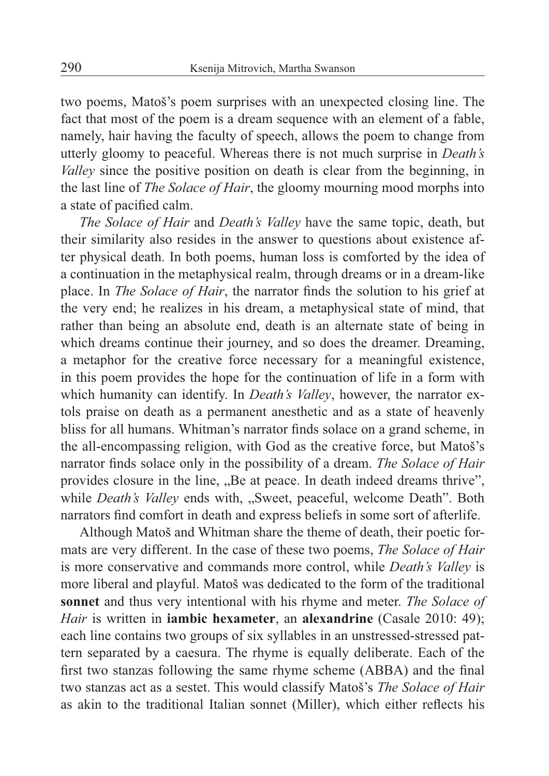two poems, Matoš's poem surprises with an unexpected closing line. The fact that most of the poem is a dream sequence with an element of a fable, namely, hair having the faculty of speech, allows the poem to change from utterly gloomy to peaceful. Whereas there is not much surprise in *Death's Valley* since the positive position on death is clear from the beginning, in the last line of *The Solace of Hair*, the gloomy mourning mood morphs into a state of pacified calm.

*The Solace of Hair* and *Death's Valley* have the same topic, death, but their similarity also resides in the answer to questions about existence after physical death. In both poems, human loss is comforted by the idea of a continuation in the metaphysical realm, through dreams or in a dream-like place. In *The Solace of Hair*, the narrator finds the solution to his grief at the very end; he realizes in his dream, a metaphysical state of mind, that rather than being an absolute end, death is an alternate state of being in which dreams continue their journey, and so does the dreamer. Dreaming, a metaphor for the creative force necessary for a meaningful existence, in this poem provides the hope for the continuation of life in a form with which humanity can identify. In *Death's Valley*, however, the narrator extols praise on death as a permanent anesthetic and as a state of heavenly bliss for all humans. Whitman's narrator finds solace on a grand scheme, in the all-encompassing religion, with God as the creative force, but Matoš's narrator finds solace only in the possibility of a dream. *The Solace of Hair* provides closure in the line, "Be at peace. In death indeed dreams thrive", while *Death's Valley* ends with, "Sweet, peaceful, welcome Death". Both narrators find comfort in death and express beliefs in some sort of afterlife.

Although Matoš and Whitman share the theme of death, their poetic formats are very different. In the case of these two poems, *The Solace of Hair* is more conservative and commands more control, while *Death's Valley* is more liberal and playful. Matoš was dedicated to the form of the traditional **sonnet** and thus very intentional with his rhyme and meter. *The Solace of Hair* is written in **iambic hexameter**, an **alexandrine** (Casale 2010: 49); each line contains two groups of six syllables in an unstressed-stressed pattern separated by a caesura. The rhyme is equally deliberate. Each of the first two stanzas following the same rhyme scheme (ABBA) and the final two stanzas act as a sestet. This would classify Matoš's *The Solace of Hair* as akin to the traditional Italian sonnet (Miller), which either reflects his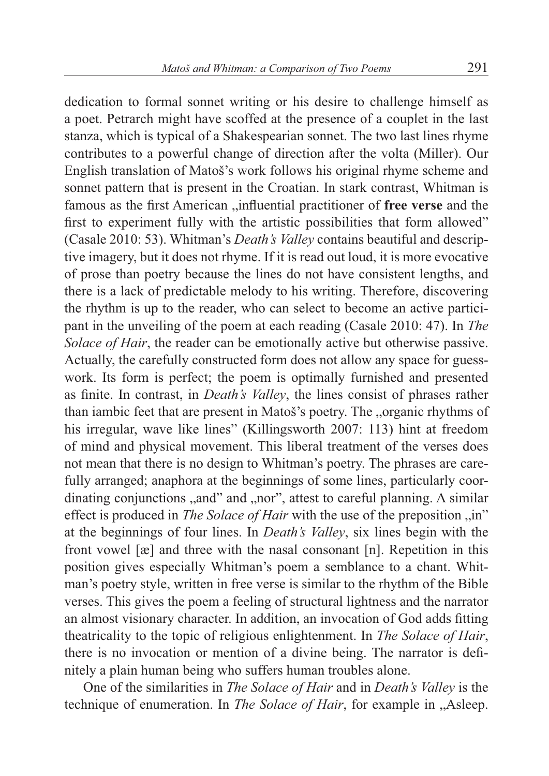dedication to formal sonnet writing or his desire to challenge himself as a poet. Petrarch might have scoffed at the presence of a couplet in the last stanza, which is typical of a Shakespearian sonnet. The two last lines rhyme contributes to a powerful change of direction after the volta (Miller). Our English translation of Matoš's work follows his original rhyme scheme and sonnet pattern that is present in the Croatian. In stark contrast, Whitman is famous as the first American "influential practitioner of free verse and the first to experiment fully with the artistic possibilities that form allowed" (Casale 2010: 53). Whitman's *Death's Valley* contains beautiful and descriptive imagery, but it does not rhyme. If it is read out loud, it is more evocative of prose than poetry because the lines do not have consistent lengths, and there is a lack of predictable melody to his writing. Therefore, discovering the rhythm is up to the reader, who can select to become an active participant in the unveiling of the poem at each reading (Casale 2010: 47). In *The Solace of Hair*, the reader can be emotionally active but otherwise passive. Actually, the carefully constructed form does not allow any space for guesswork. Its form is perfect; the poem is optimally furnished and presented as finite. In contrast, in *Death's Valley*, the lines consist of phrases rather than iambic feet that are present in Matoš's poetry. The "organic rhythms of his irregular, wave like lines" (Killingsworth 2007: 113) hint at freedom of mind and physical movement. This liberal treatment of the verses does not mean that there is no design to Whitman's poetry. The phrases are carefully arranged; anaphora at the beginnings of some lines, particularly coordinating conjunctions "and" and "nor", attest to careful planning. A similar effect is produced in *The Solace of Hair* with the use of the preposition "in" at the beginnings of four lines. In *Death's Valley*, six lines begin with the front vowel [æ] and three with the nasal consonant [n]. Repetition in this position gives especially Whitman's poem a semblance to a chant. Whitman's poetry style, written in free verse is similar to the rhythm of the Bible verses. This gives the poem a feeling of structural lightness and the narrator an almost visionary character. In addition, an invocation of God adds fitting theatricality to the topic of religious enlightenment. In *The Solace of Hair*, there is no invocation or mention of a divine being. The narrator is definitely a plain human being who suffers human troubles alone.

One of the similarities in *The Solace of Hair* and in *Death's Valley* is the technique of enumeration. In *The Solace of Hair*, for example in "Asleep.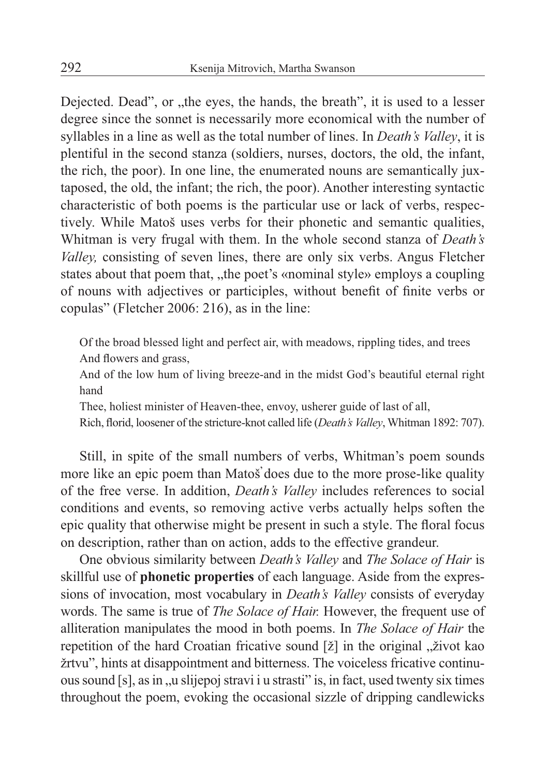Dejected. Dead", or "the eyes, the hands, the breath", it is used to a lesser degree since the sonnet is necessarily more economical with the number of syllables in a line as well as the total number of lines. In *Death's Valley*, it is plentiful in the second stanza (soldiers, nurses, doctors, the old, the infant, the rich, the poor). In one line, the enumerated nouns are semantically juxtaposed, the old, the infant; the rich, the poor). Another interesting syntactic characteristic of both poems is the particular use or lack of verbs, respectively. While Matoš uses verbs for their phonetic and semantic qualities, Whitman is very frugal with them. In the whole second stanza of *Death's Valley,* consisting of seven lines, there are only six verbs. Angus Fletcher states about that poem that, "the poet's «nominal style» employs a coupling of nouns with adjectives or participles, without benefit of finite verbs or copulas" (Fletcher 2006: 216), as in the line:

Of the broad blessed light and perfect air, with meadows, rippling tides, and trees And flowers and grass,

And of the low hum of living breeze-and in the midst God's beautiful eternal right hand

Thee, holiest minister of Heaven-thee, envoy, usherer guide of last of all,

Rich, florid, loosener of the stricture-knot called life (*Death's Valley*, Whitman 1892: 707).

Still, in spite of the small numbers of verbs, Whitman's poem sounds more like an epic poem than Matoš does due to the more prose-like quality of the free verse. In addition, *Death's Valley* includes references to social conditions and events, so removing active verbs actually helps soften the epic quality that otherwise might be present in such a style. The floral focus on description, rather than on action, adds to the effective grandeur.

One obvious similarity between *Death's Valley* and *The Solace of Hair* is skillful use of **phonetic properties** of each language. Aside from the expressions of invocation, most vocabulary in *Death's Valley* consists of everyday words. The same is true of *The Solace of Hair.* However, the frequent use of alliteration manipulates the mood in both poems. In *The Solace of Hair* the repetition of the hard Croatian fricative sound [ž] in the original "život kao žrtvu", hints at disappointment and bitterness. The voiceless fricative continuous sound [s], as in ., u slijepoj stravi i u strasti" is, in fact, used twenty six times throughout the poem, evoking the occasional sizzle of dripping candlewicks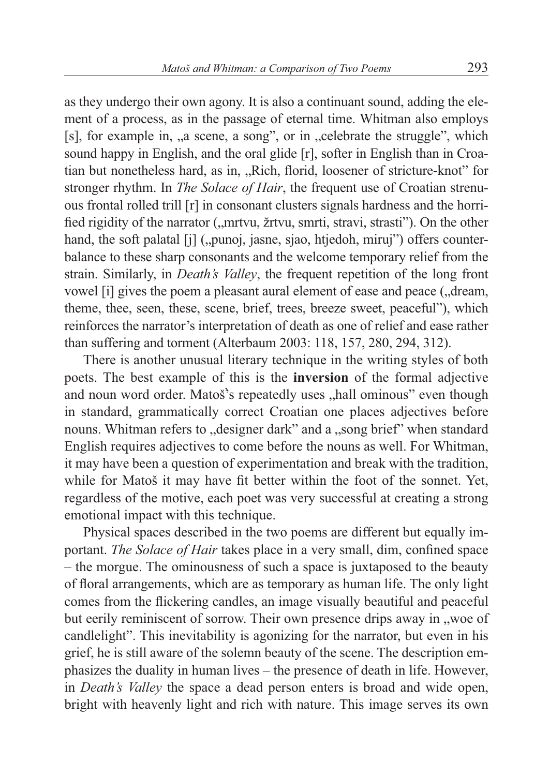as they undergo their own agony. It is also a continuant sound, adding the element of a process, as in the passage of eternal time. Whitman also employs [s], for example in, "a scene, a song", or in "celebrate the struggle", which sound happy in English, and the oral glide [r], softer in English than in Croatian but nonetheless hard, as in, "Rich, florid, loosener of stricture-knot" for stronger rhythm. In *The Solace of Hair*, the frequent use of Croatian strenuous frontal rolled trill [r] in consonant clusters signals hardness and the horrified rigidity of the narrator ("mrtvu, žrtvu, smrti, stravi, strasti"). On the other hand, the soft palatal [j] ("punoj, jasne, sjao, htjedoh, miruj") offers counterbalance to these sharp consonants and the welcome temporary relief from the strain. Similarly, in *Death's Valley*, the frequent repetition of the long front vowel [i] gives the poem a pleasant aural element of ease and peace (, dream, theme, thee, seen, these, scene, brief, trees, breeze sweet, peaceful"), which reinforces the narrator's interpretation of death as one of relief and ease rather than suffering and torment (Alterbaum 2003: 118, 157, 280, 294, 312).

There is another unusual literary technique in the writing styles of both poets. The best example of this is the **inversion** of the formal adjective and noun word order. Matoš's repeatedly uses "hall ominous" even though in standard, grammatically correct Croatian one places adjectives before nouns. Whitman refers to "designer dark" and a "song brief" when standard English requires adjectives to come before the nouns as well. For Whitman, it may have been a question of experimentation and break with the tradition, while for Matoš it may have fit better within the foot of the sonnet. Yet, regardless of the motive, each poet was very successful at creating a strong emotional impact with this technique.

Physical spaces described in the two poems are different but equally important. *The Solace of Hair* takes place in a very small, dim, confined space – the morgue. The ominousness of such a space is juxtaposed to the beauty of floral arrangements, which are as temporary as human life. The only light comes from the flickering candles, an image visually beautiful and peaceful but eerily reminiscent of sorrow. Their own presence drips away in "woe of candlelight". This inevitability is agonizing for the narrator, but even in his grief, he is still aware of the solemn beauty of the scene. The description emphasizes the duality in human lives – the presence of death in life. However, in *Death's Valley* the space a dead person enters is broad and wide open, bright with heavenly light and rich with nature. This image serves its own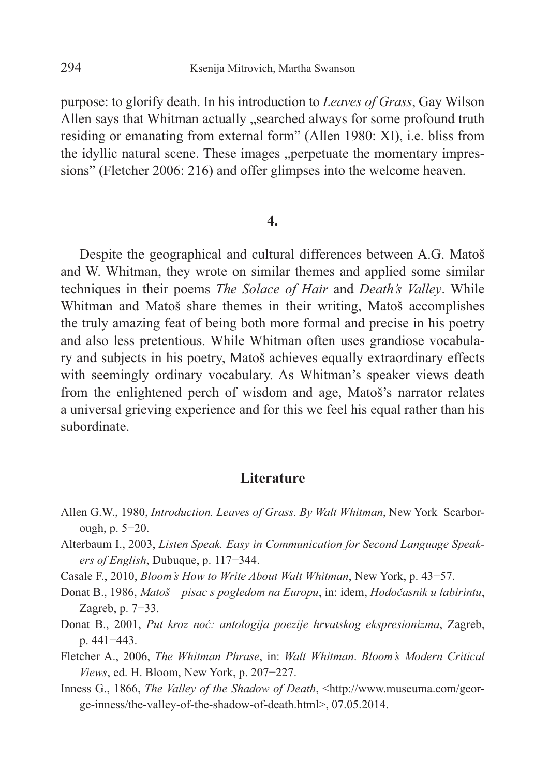purpose: to glorify death. In his introduction to *Leaves of Grass*, Gay Wilson Allen says that Whitman actually "searched always for some profound truth residing or emanating from external form" (Allen 1980: XI), i.e. bliss from the idyllic natural scene. These images , perpetuate the momentary impressions" (Fletcher 2006: 216) and offer glimpses into the welcome heaven.

#### **4.**

Despite the geographical and cultural differences between A.G. Matoš and W. Whitman, they wrote on similar themes and applied some similar techniques in their poems *The Solace of Hair* and *Death's Valley*. While Whitman and Matoš share themes in their writing, Matoš accomplishes the truly amazing feat of being both more formal and precise in his poetry and also less pretentious. While Whitman often uses grandiose vocabulary and subjects in his poetry, Matoš achieves equally extraordinary effects with seemingly ordinary vocabulary. As Whitman's speaker views death from the enlightened perch of wisdom and age, Matoš's narrator relates a universal grieving experience and for this we feel his equal rather than his subordinate.

## **Literature**

- Allen G.W., 1980, *Introduction. Leaves of Grass. By Walt Whitman*, New York–Scarborough, p. 5−20.
- Alterbaum I., 2003, *Listen Speak. Easy in Communication for Second Language Speakers of English*, Dubuque, p. 117−344.
- Casale F., 2010, *Bloom's How to Write About Walt Whitman*, New York, p. 43−57.
- Donat B., 1986, *Matoš pisac s pogledom na Europu*, in: idem, *Hodočasnik u labirintu*, Zagreb, p. 7−33.
- Donat B., 2001, *Put kroz noć: antologija poezije hrvatskog ekspresionizma*, Zagreb, p. 441−443.
- Fletcher A., 2006, *The Whitman Phrase*, in: *Walt Whitman*. *Bloom's Modern Critical Views*, ed. H. Bloom, New York, p. 207−227.
- Inness G., 1866, *The Valley of the Shadow of Death*, <http://www.museuma.com/george-inness/the-valley-of-the-shadow-of-death.html>, 07.05.2014.